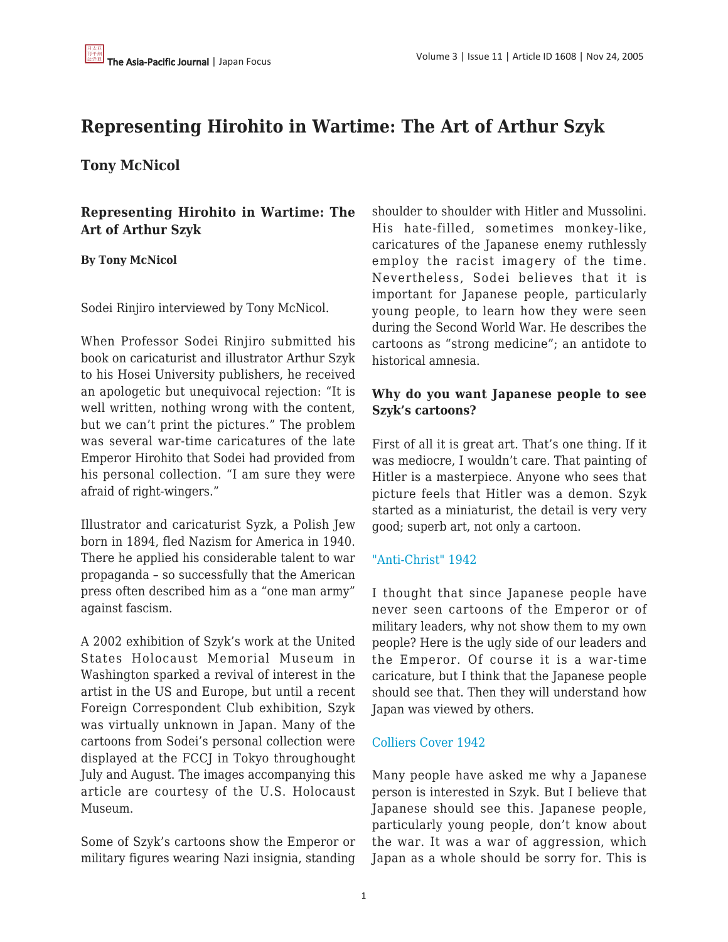# **Representing Hirohito in Wartime: The Art of Arthur Szyk**

**Tony McNicol**

**Representing Hirohito in Wartime: The Art of Arthur Szyk**

**By Tony McNicol**

Sodei Rinjiro interviewed by Tony McNicol.

When Professor Sodei Rinjiro submitted his book on caricaturist and illustrator Arthur Szyk to his Hosei University publishers, he received an apologetic but unequivocal rejection: "It is well written, nothing wrong with the content, but we can't print the pictures." The problem was several war-time caricatures of the late Emperor Hirohito that Sodei had provided from his personal collection. "I am sure they were afraid of right-wingers."

Illustrator and caricaturist Syzk, a Polish Jew born in 1894, fled Nazism for America in 1940. There he applied his considerable talent to war propaganda – so successfully that the American press often described him as a "one man army" against fascism.

A 2002 exhibition of Szyk's work at the United States Holocaust Memorial Museum in Washington sparked a revival of interest in the artist in the US and Europe, but until a recent Foreign Correspondent Club exhibition, Szyk was virtually unknown in Japan. Many of the cartoons from Sodei's personal collection were displayed at the FCCJ in Tokyo throughought July and August. The images accompanying this article are courtesy of the U.S. Holocaust Museum.

Some of Szyk's cartoons show the Emperor or military figures wearing Nazi insignia, standing shoulder to shoulder with Hitler and Mussolini. His hate-filled, sometimes monkey-like, caricatures of the Japanese enemy ruthlessly employ the racist imagery of the time. Nevertheless, Sodei believes that it is important for Japanese people, particularly young people, to learn how they were seen during the Second World War. He describes the cartoons as "strong medicine"; an antidote to historical amnesia.

#### **Why do you want Japanese people to see Szyk's cartoons?**

First of all it is great art. That's one thing. If it was mediocre, I wouldn't care. That painting of Hitler is a masterpiece. Anyone who sees that picture feels that Hitler was a demon. Szyk started as a miniaturist, the detail is very very good; superb art, not only a cartoon.

#### ["Anti-Christ" 1942](http://www.ushmm.org/museum/exhibit/online/szyk/wartime/93866.htm)

I thought that since Japanese people have never seen cartoons of the Emperor or of military leaders, why not show them to my own people? Here is the ugly side of our leaders and the Emperor. Of course it is a war-time caricature, but I think that the Japanese people should see that. Then they will understand how Japan was viewed by others.

#### [Colliers Cover 1942](http://www.ushmm.org/museum/exhibit/online/szyk/wartime/93825.htm)

Many people have asked me why a Japanese person is interested in Szyk. But I believe that Japanese should see this. Japanese people, particularly young people, don't know about the war. It was a war of aggression, which Japan as a whole should be sorry for. This is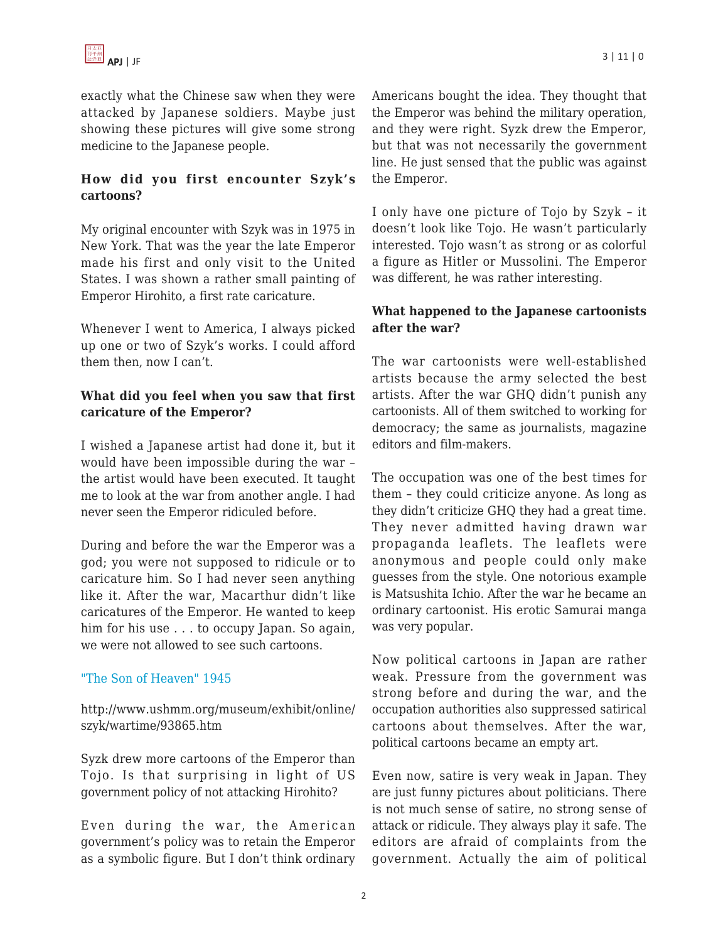exactly what the Chinese saw when they were attacked by Japanese soldiers. Maybe just showing these pictures will give some strong medicine to the Japanese people.

## **How did you first encounter Szyk's cartoons?**

My original encounter with Szyk was in 1975 in New York. That was the year the late Emperor made his first and only visit to the United States. I was shown a rather small painting of Emperor Hirohito, a first rate caricature.

Whenever I went to America, I always picked up one or two of Szyk's works. I could afford them then, now I can't.

## **What did you feel when you saw that first caricature of the Emperor?**

I wished a Japanese artist had done it, but it would have been impossible during the war – the artist would have been executed. It taught me to look at the war from another angle. I had never seen the Emperor ridiculed before.

During and before the war the Emperor was a god; you were not supposed to ridicule or to caricature him. So I had never seen anything like it. After the war, Macarthur didn't like caricatures of the Emperor. He wanted to keep him for his use . . . to occupy Japan. So again, we were not allowed to see such cartoons.

#### ["The Son of Heaven" 1945](http://www.ushmm.org/museum/exhibit/online/szyk/wartime/93865.htm)

http://www.ushmm.org/museum/exhibit/online/ szyk/wartime/93865.htm

Syzk drew more cartoons of the Emperor than Tojo. Is that surprising in light of US government policy of not attacking Hirohito?

Even during the war, the American government's policy was to retain the Emperor as a symbolic figure. But I don't think ordinary Americans bought the idea. They thought that the Emperor was behind the military operation, and they were right. Syzk drew the Emperor, but that was not necessarily the government line. He just sensed that the public was against the Emperor.

I only have one picture of Tojo by Szyk – it doesn't look like Tojo. He wasn't particularly interested. Tojo wasn't as strong or as colorful a figure as Hitler or Mussolini. The Emperor was different, he was rather interesting.

#### **What happened to the Japanese cartoonists after the war?**

The war cartoonists were well-established artists because the army selected the best artists. After the war GHQ didn't punish any cartoonists. All of them switched to working for democracy; the same as journalists, magazine editors and film-makers.

The occupation was one of the best times for them – they could criticize anyone. As long as they didn't criticize GHQ they had a great time. They never admitted having drawn war propaganda leaflets. The leaflets were anonymous and people could only make guesses from the style. One notorious example is Matsushita Ichio. After the war he became an ordinary cartoonist. His erotic Samurai manga was very popular.

Now political cartoons in Japan are rather weak. Pressure from the government was strong before and during the war, and the occupation authorities also suppressed satirical cartoons about themselves. After the war, political cartoons became an empty art.

Even now, satire is very weak in Japan. They are just funny pictures about politicians. There is not much sense of satire, no strong sense of attack or ridicule. They always play it safe. The editors are afraid of complaints from the government. Actually the aim of political